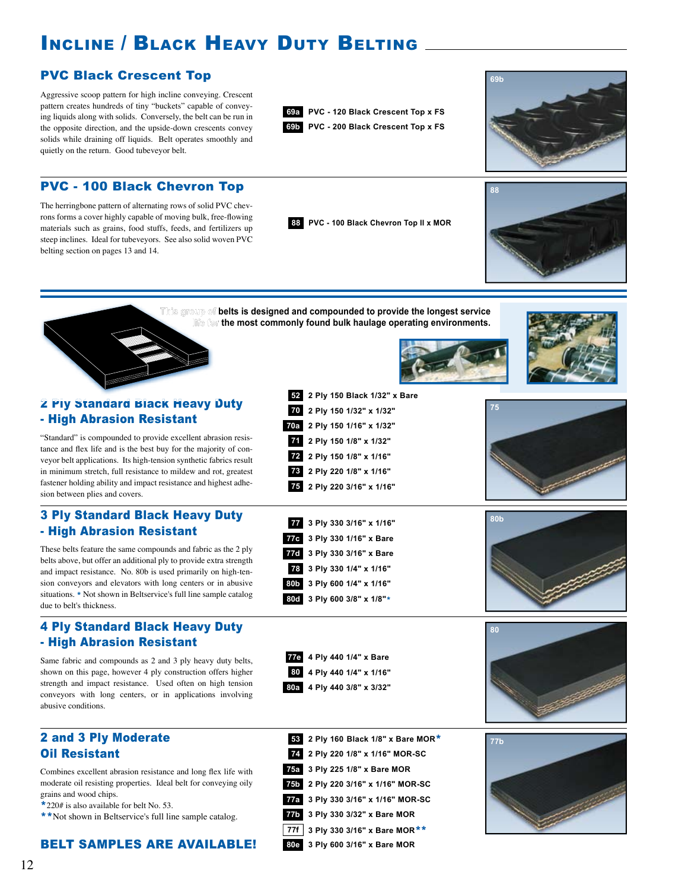## INCLINE / BLACK HEAVY DUTY BELTING

#### PVC Black Crescent Top

Aggressive scoop pattern for high incline conveying. Crescent pattern creates hundreds of tiny "buckets" capable of conveying liquids along with solids. Conversely, the belt can be run in the opposite direction, and the upside-down crescents convey solids while draining off liquids. Belt operates smoothly and quietly on the return. Good tubeveyor belt.







#### PVC - 100 Black Chevron Top

The herringbone pattern of alternating rows of solid PVC chevrons forms a cover highly capable of moving bulk, free-flowing materials such as grains, food stuffs, feeds, and fertilizers up steep inclines. Ideal for tubeveyors. See also solid woven PVC belting section on pages 13 and 14.





**This group of belts is designed and compounded to provide the longest service life for the most commonly found bulk haulage operating environments.** 

**52 2 Ply 150 Black 1/32" x Bare**

**2 Ply 150 1/16" x 1/32" 70a 2 Ply 150 1/8" x 1/32" 2 Ply 150 1/8" x 1/16" 2 Ply 220 1/8" x 1/16" 2 Ply 220 3/16" x 1/16"**

**77 3 Ply 330 3/16" x 1/16"**

77c 3 Ply 330 1/16" x Bare

**2 Ply 220 3/16" x 1/16" MOR-SC 75b 75a 3 Ply 225 1/8" x Bare MOR**

**3 Ply 330 3/16" x 1/16" MOR-SC 77a**

**77b 3 Ply 330 3/32" x Bare MOR**

**80e 3 Ply 600 3/16" x Bare MOR**

**77f 3 Ply 330 3/16" x Bare MOR**\*\*



"Standard" is compounded to provide excellent abrasion resistance and flex life and is the best buy for the majority of conveyor belt applications. Its high-tension synthetic fabrics result in minimum stretch, full resistance to mildew and rot, greatest fastener holding ability and impact resistance and highest adhesion between plies and covers.

#### 3 Ply Standard Black Heavy Duty - High Abrasion Resistant **3 Ply 330 1/16" x Bare**

These belts feature the same compounds and fabric as the 2 ply belts above, but offer an additional ply to provide extra strength and impact resistance. No. 80b is used primarily on high-tension conveyors and elevators with long centers or in abusive situations. \* Not shown in Beltservice's full line sample catalog due to belt's thickness.

#### 4 Ply Standard Black Heavy Duty - High Abrasion Resistant

Same fabric and compounds as 2 and 3 ply heavy duty belts, shown on this page, however 4 ply construction offers higher strength and impact resistance. Used often on high tension conveyors with long centers, or in applications involving abusive conditions.

### *Oil Resistant* **2 Ply 220 1/8" x 1/16" MOR-SC** 2 and 3 Ply Moderate

Combines excellent abrasion resistance and long flex life with moderate oil resisting properties. Ideal belt for conveying oily grains and wood chips.

\*220# is also available for belt No. 53.

\*\*Not shown in Beltservice's full line sample catalog.

#### BELT SAMPLES ARE AVAILABLE!

| 77d 3 Ply 330 3/16" x Bare<br>78 3 Ply 330 1/4" x 1/16"<br>80b 3 Ply 600 1/4" x 1/16"<br>80d 3 Ply 600 3/8" x 1/8"* |                 |
|---------------------------------------------------------------------------------------------------------------------|-----------------|
| 4 Ply 440 1/4" x Bare<br>77e<br>4 Ply 440 1/4" x 1/16"<br>80<br>80a 4 Ply 440 3/8" x 3/32"                          | 80              |
| 2 Ply 160 Black 1/8" x Bare MOR*<br>53                                                                              | 77 <sub>b</sub> |

**80b**



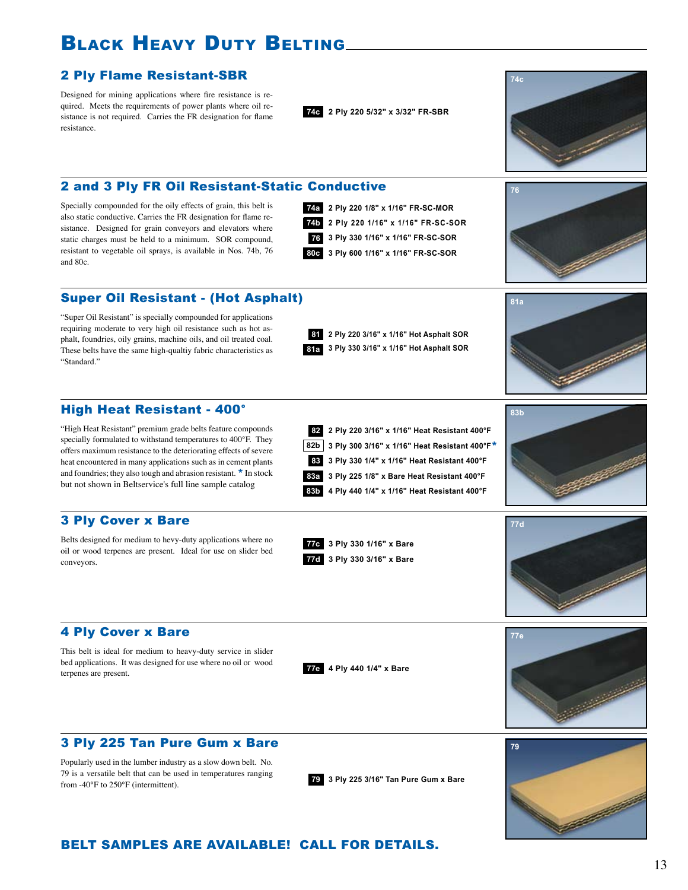## Black Heavy Duty Belting

#### 2 Ply Flame Resistant-SBR

Designed for mining applications where fire resistance is required. Meets the requirements of power plants where oil resistance is not required. Carries the FR designation for flame resistance.

**74c 2 Ply 220 5/32" x 3/32" FR-SBR**

#### 2 and 3 Ply FR Oil Resistant-Static Conductive

Specially compounded for the oily effects of grain, this belt is also static conductive. Carries the FR designation for flame resistance. Designed for grain conveyors and elevators where static charges must be held to a minimum. SOR compound, resistant to vegetable oil sprays, is available in Nos. 74b, 76 and 80c.

**74a 2 Ply 220 1/8" x 1/16" FR-SC-MOR 76 3 Ply 330 1/16" x 1/16" FR-SC-SOR 80c 3 Ply 600 1/16" x 1/16" FR-SC-SOR 74b 2 Ply 220 1/16" x 1/16" FR-SC-SOR**



**74c**



#### Super Oil Resistant - (Hot Asphalt)

"Super Oil Resistant" is specially compounded for applications requiring moderate to very high oil resistance such as hot asphalt, foundries, oily grains, machine oils, and oil treated coal. These belts have the same high-qualtiy fabric characteristics as "Standard."

**2 Ply 220 3/16" x 1/16" Hot Asphalt SOR 81 81a 3 Ply 330 3/16" x 1/16" Hot Asphalt SOR** **81a**

#### High Heat Resistant - 400°

"High Heat Resistant" premium grade belts feature compounds specially formulated to withstand temperatures to 400°F. They offers maximum resistance to the deteriorating effects of severe heat encountered in many applications such as in cement plants and foundries; they also tough and abrasion resistant. \* In stock but not shown in Beltservice's full line sample catalog

#### 3 Ply Cover x Bare

Belts designed for medium to hevy-duty applications where no oil or wood terpenes are present. Ideal for use on slider bed conveyors.

**82 2 Ply 220 3/16" x 1/16" Heat Resistant 400°F 83a 3 Ply 225 1/8" x Bare Heat Resistant 400°F 83b 4 Ply 440 1/4" x 1/16" Heat Resistant 400°F 83 3 Ply 330 1/4" x 1/16" Heat Resistant 400°F 82b 3 Ply 300 3/16" x 1/16" Heat Resistant 400°F**\*





#### 4 Ply Cover x Bare

This belt is ideal for medium to heavy-duty service in slider bed applications. It was designed for use where no oil or wood terpenes are present.

**77e 4 Ply 440 1/4" x Bare**

**77c 3 Ply 330 1/16" x Bare 77d 3 Ply 330 3/16" x Bare**



#### 3 Ply 225 Tan Pure Gum x Bare

Popularly used in the lumber industry as a slow down belt. No. 79 is a versatile belt that can be used in temperatures ranging from -40°F to 250°F (intermittent). **<sup>79</sup> 3 Ply 225 3/16" Tan Pure Gum x Bare**



#### BELT SAMPLES ARE AVAILABLE! CALL FOR DETAILS.